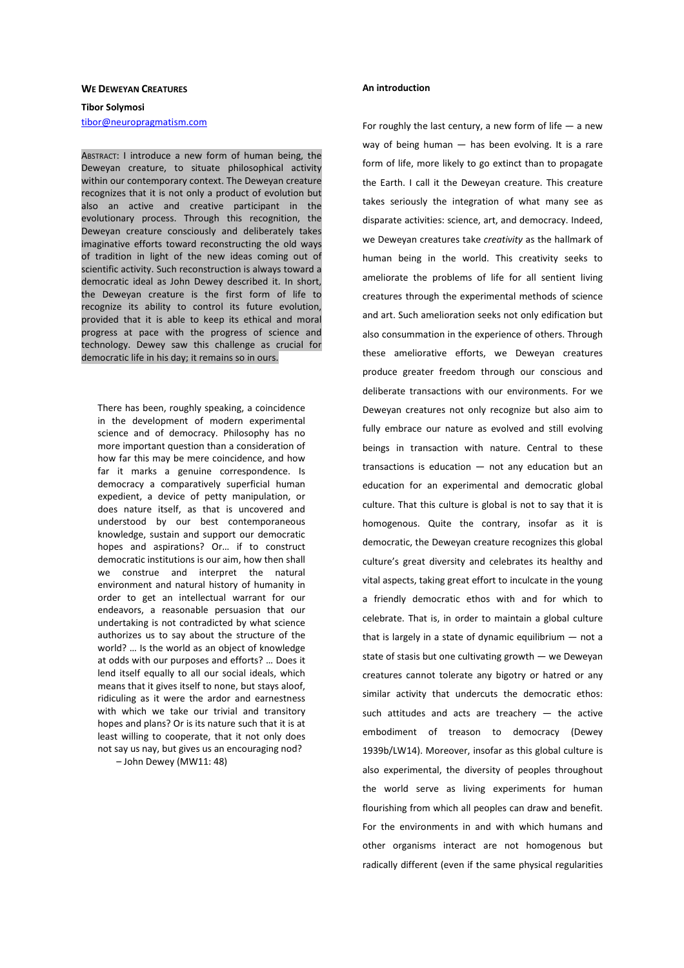### **WE DEWEYAN CREATURES**

# **Tibor Solymosi**  tibor@neuropragmatism.com

ABSTRACT: I introduce a new form of human being, the Deweyan creature, to situate philosophical activity within our contemporary context. The Deweyan creature recognizes that it is not only a product of evolution but also an active and creative participant in the evolutionary process. Through this recognition, the Deweyan creature consciously and deliberately takes imaginative efforts toward reconstructing the old ways of tradition in light of the new ideas coming out of scientific activity. Such reconstruction is always toward a democratic ideal as John Dewey described it. In short, the Deweyan creature is the first form of life to recognize its ability to control its future evolution, provided that it is able to keep its ethical and moral progress at pace with the progress of science and technology. Dewey saw this challenge as crucial for democratic life in his day; it remains so in ours.

There has been, roughly speaking, a coincidence in the development of modern experimental science and of democracy. Philosophy has no more important question than a consideration of how far this may be mere coincidence, and how far it marks a genuine correspondence. Is democracy a comparatively superficial human expedient, a device of petty manipulation, or does nature itself, as that is uncovered and understood by our best contemporaneous knowledge, sustain and support our democratic hopes and aspirations? Or… if to construct democratic institutions is our aim, how then shall we construe and interpret the natural environment and natural history of humanity in order to get an intellectual warrant for our endeavors, a reasonable persuasion that our undertaking is not contradicted by what science authorizes us to say about the structure of the world? … Is the world as an object of knowledge at odds with our purposes and efforts? … Does it lend itself equally to all our social ideals, which means that it gives itself to none, but stays aloof, ridiculing as it were the ardor and earnestness with which we take our trivial and transitory hopes and plans? Or is its nature such that it is at least willing to cooperate, that it not only does not say us nay, but gives us an encouraging nod?

– John Dewey (MW11: 48)

## **An introduction**

For roughly the last century, a new form of life  $-$  a new way of being human — has been evolving. It is a rare form of life, more likely to go extinct than to propagate the Earth. I call it the Deweyan creature. This creature takes seriously the integration of what many see as disparate activities: science, art, and democracy. Indeed, we Deweyan creatures take *creativity* as the hallmark of human being in the world. This creativity seeks to ameliorate the problems of life for all sentient living creatures through the experimental methods of science and art. Such amelioration seeks not only edification but also consummation in the experience of others. Through these ameliorative efforts, we Deweyan creatures produce greater freedom through our conscious and deliberate transactions with our environments. For we Deweyan creatures not only recognize but also aim to fully embrace our nature as evolved and still evolving beings in transaction with nature. Central to these transactions is education  $-$  not any education but an education for an experimental and democratic global culture. That this culture is global is not to say that it is homogenous. Quite the contrary, insofar as it is democratic, the Deweyan creature recognizes this global culture's great diversity and celebrates its healthy and vital aspects, taking great effort to inculcate in the young a friendly democratic ethos with and for which to celebrate. That is, in order to maintain a global culture that is largely in a state of dynamic equilibrium  $-$  not a state of stasis but one cultivating growth — we Deweyan creatures cannot tolerate any bigotry or hatred or any similar activity that undercuts the democratic ethos: such attitudes and acts are treachery  $-$  the active embodiment of treason to democracy (Dewey 1939b/LW14). Moreover, insofar as this global culture is also experimental, the diversity of peoples throughout the world serve as living experiments for human flourishing from which all peoples can draw and benefit. For the environments in and with which humans and other organisms interact are not homogenous but radically different (even if the same physical regularities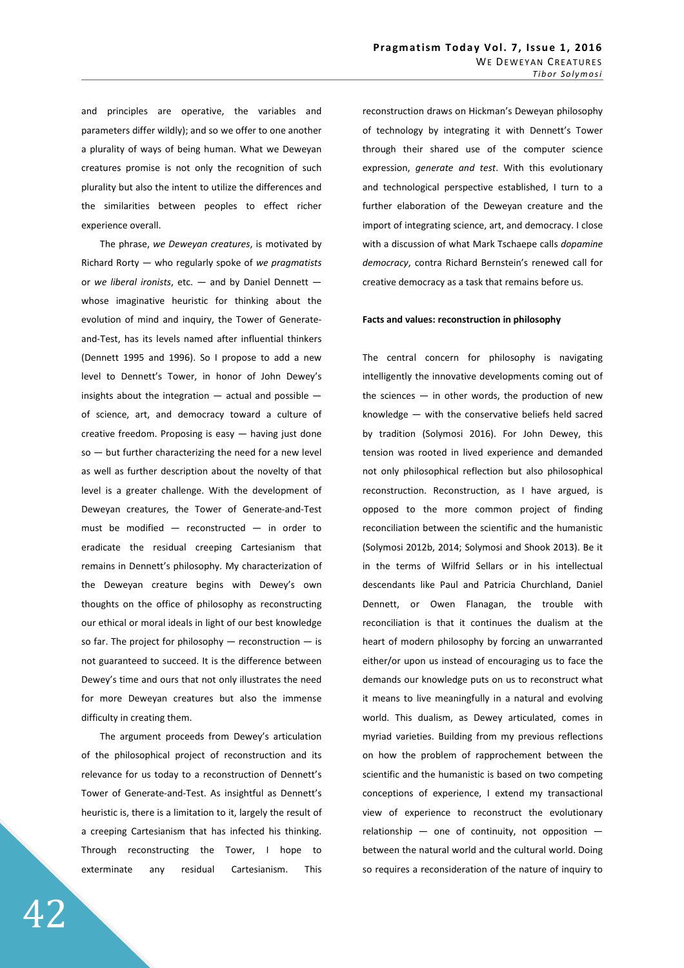and principles are operative, the variables and parameters differ wildly); and so we offer to one another a plurality of ways of being human. What we Deweyan creatures promise is not only the recognition of such plurality but also the intent to utilize the differences and the similarities between peoples to effect richer experience overall.

 The phrase, *we Deweyan creatures*, is motivated by Richard Rorty — who regularly spoke of *we pragmatists* or *we liberal ironists*, etc. — and by Daniel Dennett whose imaginative heuristic for thinking about the evolution of mind and inquiry, the Tower of Generateand-Test, has its levels named after influential thinkers (Dennett 1995 and 1996). So I propose to add a new level to Dennett's Tower, in honor of John Dewey's insights about the integration — actual and possible of science, art, and democracy toward a culture of creative freedom. Proposing is easy — having just done so — but further characterizing the need for a new level as well as further description about the novelty of that level is a greater challenge. With the development of Deweyan creatures, the Tower of Generate-and-Test must be modified — reconstructed — in order to eradicate the residual creeping Cartesianism that remains in Dennett's philosophy. My characterization of the Deweyan creature begins with Dewey's own thoughts on the office of philosophy as reconstructing our ethical or moral ideals in light of our best knowledge so far. The project for philosophy  $-$  reconstruction  $-$  is not guaranteed to succeed. It is the difference between Dewey's time and ours that not only illustrates the need for more Deweyan creatures but also the immense difficulty in creating them.

 The argument proceeds from Dewey's articulation of the philosophical project of reconstruction and its relevance for us today to a reconstruction of Dennett's Tower of Generate-and-Test. As insightful as Dennett's heuristic is, there is a limitation to it, largely the result of a creeping Cartesianism that has infected his thinking. Through reconstructing the Tower, I hope to exterminate any residual Cartesianism. This

reconstruction draws on Hickman's Deweyan philosophy of technology by integrating it with Dennett's Tower through their shared use of the computer science expression, *generate and test*. With this evolutionary and technological perspective established, I turn to a further elaboration of the Deweyan creature and the import of integrating science, art, and democracy. I close with a discussion of what Mark Tschaepe calls *dopamine democracy*, contra Richard Bernstein's renewed call for creative democracy as a task that remains before us.

# **Facts and values: reconstruction in philosophy**

The central concern for philosophy is navigating intelligently the innovative developments coming out of the sciences  $-$  in other words, the production of new knowledge — with the conservative beliefs held sacred by tradition (Solymosi 2016). For John Dewey, this tension was rooted in lived experience and demanded not only philosophical reflection but also philosophical reconstruction. Reconstruction, as I have argued, is opposed to the more common project of finding reconciliation between the scientific and the humanistic (Solymosi 2012b, 2014; Solymosi and Shook 2013). Be it in the terms of Wilfrid Sellars or in his intellectual descendants like Paul and Patricia Churchland, Daniel Dennett, or Owen Flanagan, the trouble with reconciliation is that it continues the dualism at the heart of modern philosophy by forcing an unwarranted either/or upon us instead of encouraging us to face the demands our knowledge puts on us to reconstruct what it means to live meaningfully in a natural and evolving world. This dualism, as Dewey articulated, comes in myriad varieties. Building from my previous reflections on how the problem of rapprochement between the scientific and the humanistic is based on two competing conceptions of experience, I extend my transactional view of experience to reconstruct the evolutionary relationship  $-$  one of continuity, not opposition  $$ between the natural world and the cultural world. Doing so requires a reconsideration of the nature of inquiry to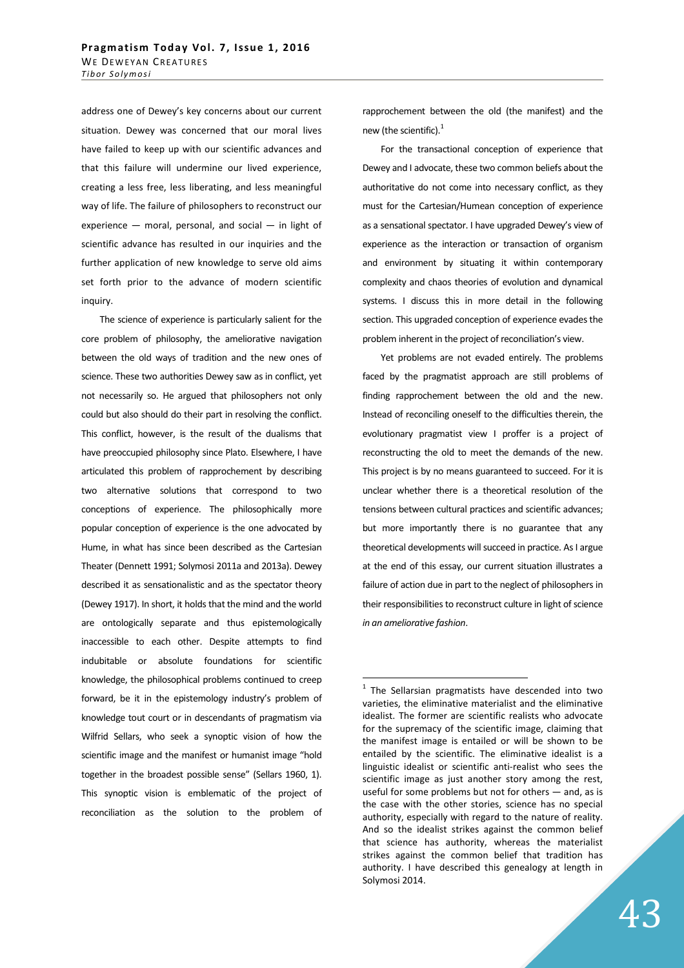address one of Dewey's key concerns about our current situation. Dewey was concerned that our moral lives have failed to keep up with our scientific advances and that this failure will undermine our lived experience, creating a less free, less liberating, and less meaningful way of life. The failure of philosophers to reconstruct our experience — moral, personal, and social — in light of scientific advance has resulted in our inquiries and the further application of new knowledge to serve old aims set forth prior to the advance of modern scientific inquiry.

 The science of experience is particularly salient for the core problem of philosophy, the ameliorative navigation between the old ways of tradition and the new ones of science. These two authorities Dewey saw as in conflict, yet not necessarily so. He argued that philosophers not only could but also should do their part in resolving the conflict. This conflict, however, is the result of the dualisms that have preoccupied philosophy since Plato. Elsewhere, I have articulated this problem of rapprochement by describing two alternative solutions that correspond to two conceptions of experience. The philosophically more popular conception of experience is the one advocated by Hume, in what has since been described as the Cartesian Theater (Dennett 1991; Solymosi 2011a and 2013a). Dewey described it as sensationalistic and as the spectator theory (Dewey 1917). In short, it holds that the mind and the world are ontologically separate and thus epistemologically inaccessible to each other. Despite attempts to find indubitable or absolute foundations for scientific knowledge, the philosophical problems continued to creep forward, be it in the epistemology industry's problem of knowledge tout court or in descendants of pragmatism via Wilfrid Sellars, who seek a synoptic vision of how the scientific image and the manifest or humanist image "hold together in the broadest possible sense" (Sellars 1960, 1). This synoptic vision is emblematic of the project of reconciliation as the solution to the problem of

rapprochement between the old (the manifest) and the new (the scientific).<sup>1</sup>

 For the transactional conception of experience that Dewey and I advocate, these two common beliefs about the authoritative do not come into necessary conflict, as they must for the Cartesian/Humean conception of experience as a sensational spectator. I have upgraded Dewey's view of experience as the interaction or transaction of organism and environment by situating it within contemporary complexity and chaos theories of evolution and dynamical systems. I discuss this in more detail in the following section. This upgraded conception of experience evades the problem inherent in the project of reconciliation's view.

 Yet problems are not evaded entirely. The problems faced by the pragmatist approach are still problems of finding rapprochement between the old and the new. Instead of reconciling oneself to the difficulties therein, the evolutionary pragmatist view I proffer is a project of reconstructing the old to meet the demands of the new. This project is by no means guaranteed to succeed. For it is unclear whether there is a theoretical resolution of the tensions between cultural practices and scientific advances; but more importantly there is no guarantee that any theoretical developments will succeed in practice. As I argue at the end of this essay, our current situation illustrates a failure of action due in part to the neglect of philosophers in their responsibilities to reconstruct culture in light of science *in an ameliorative fashion*.

**The Sellarsian pragmatists have descended into two**<br>The Sellarsian pragmatists have descended into two varieties, the eliminative materialist and the eliminative idealist. The former are scientific realists who advocate for the supremacy of the scientific image, claiming that the manifest image is entailed or will be shown to be entailed by the scientific. The eliminative idealist is a linguistic idealist or scientific anti-realist who sees the scientific image as just another story among the rest, useful for some problems but not for others — and, as is the case with the other stories, science has no special authority, especially with regard to the nature of reality. And so the idealist strikes against the common belief that science has authority, whereas the materialist strikes against the common belief that tradition has authority. I have described this genealogy at length in Solymosi 2014.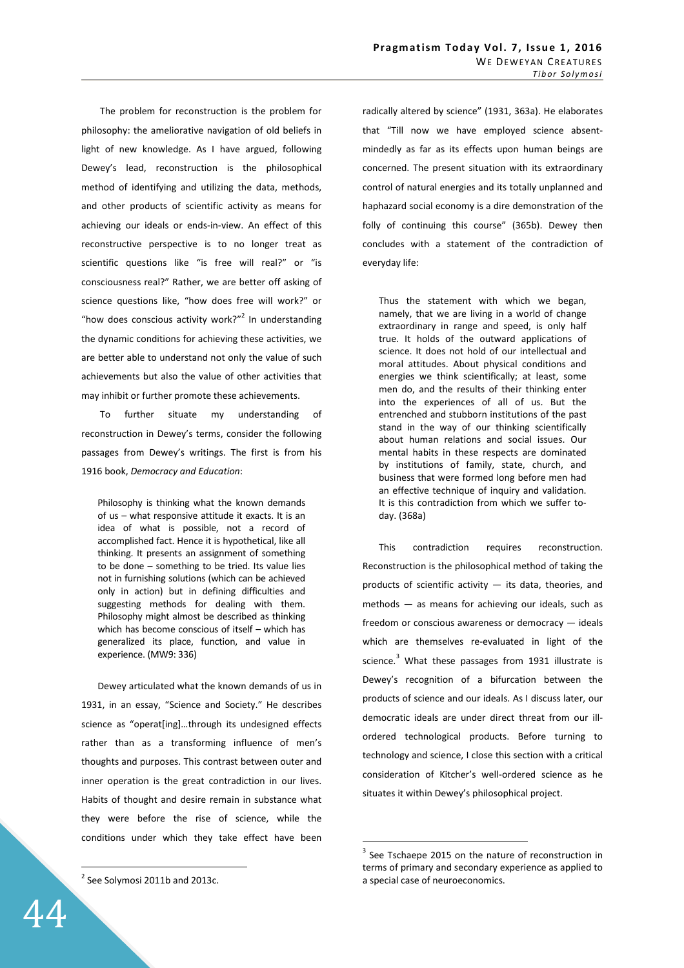The problem for reconstruction is the problem for philosophy: the ameliorative navigation of old beliefs in light of new knowledge. As I have argued, following Dewey's lead, reconstruction is the philosophical method of identifying and utilizing the data, methods, and other products of scientific activity as means for achieving our ideals or ends-in-view. An effect of this reconstructive perspective is to no longer treat as scientific questions like "is free will real?" or "is consciousness real?" Rather, we are better off asking of science questions like, "how does free will work?" or "how does conscious activity work?" In understanding the dynamic conditions for achieving these activities, we are better able to understand not only the value of such achievements but also the value of other activities that may inhibit or further promote these achievements.

 To further situate my understanding of reconstruction in Dewey's terms, consider the following passages from Dewey's writings. The first is from his 1916 book, *Democracy and Education*:

Philosophy is thinking what the known demands of us – what responsive attitude it exacts. It is an idea of what is possible, not a record of accomplished fact. Hence it is hypothetical, like all thinking. It presents an assignment of something to be done – something to be tried. Its value lies not in furnishing solutions (which can be achieved only in action) but in defining difficulties and suggesting methods for dealing with them. Philosophy might almost be described as thinking which has become conscious of itself – which has generalized its place, function, and value in experience. (MW9: 336)

Dewey articulated what the known demands of us in 1931, in an essay, "Science and Society." He describes science as "operat[ing]…through its undesigned effects rather than as a transforming influence of men's thoughts and purposes. This contrast between outer and inner operation is the great contradiction in our lives. Habits of thought and desire remain in substance what they were before the rise of science, while the conditions under which they take effect have been

 $2$  See Solymosi 2011b and 2013c.

radically altered by science" (1931, 363a). He elaborates that "Till now we have employed science absentmindedly as far as its effects upon human beings are concerned. The present situation with its extraordinary control of natural energies and its totally unplanned and haphazard social economy is a dire demonstration of the folly of continuing this course" (365b). Dewey then concludes with a statement of the contradiction of everyday life:

Thus the statement with which we began, namely, that we are living in a world of change extraordinary in range and speed, is only half true. It holds of the outward applications of science. It does not hold of our intellectual and moral attitudes. About physical conditions and energies we think scientifically; at least, some men do, and the results of their thinking enter into the experiences of all of us. But the entrenched and stubborn institutions of the past stand in the way of our thinking scientifically about human relations and social issues. Our mental habits in these respects are dominated by institutions of family, state, church, and business that were formed long before men had an effective technique of inquiry and validation. It is this contradiction from which we suffer today. (368a)

This contradiction requires reconstruction. Reconstruction is the philosophical method of taking the products of scientific activity — its data, theories, and methods — as means for achieving our ideals, such as freedom or conscious awareness or democracy — ideals which are themselves re-evaluated in light of the science.<sup>3</sup> What these passages from 1931 illustrate is Dewey's recognition of a bifurcation between the products of science and our ideals. As I discuss later, our democratic ideals are under direct threat from our illordered technological products. Before turning to technology and science, I close this section with a critical consideration of Kitcher's well-ordered science as he situates it within Dewey's philosophical project.

 $\overline{a}$ 

 $3$  See Tschaepe 2015 on the nature of reconstruction in terms of primary and secondary experience as applied to a special case of neuroeconomics.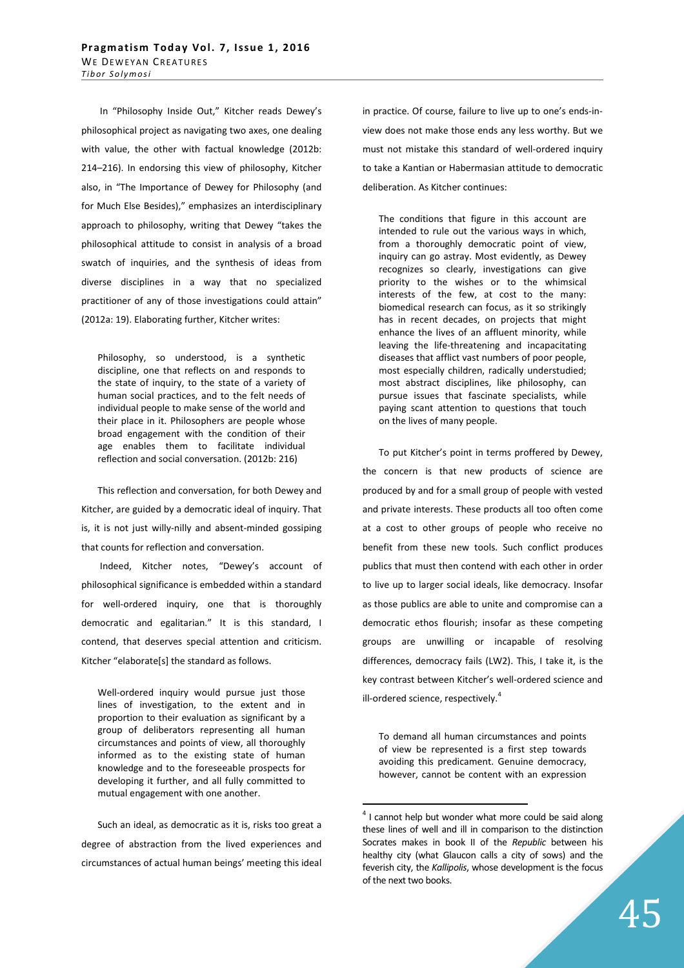In "Philosophy Inside Out," Kitcher reads Dewey's philosophical project as navigating two axes, one dealing with value, the other with factual knowledge (2012b: 214–216). In endorsing this view of philosophy, Kitcher also, in "The Importance of Dewey for Philosophy (and for Much Else Besides)," emphasizes an interdisciplinary approach to philosophy, writing that Dewey "takes the philosophical attitude to consist in analysis of a broad swatch of inquiries, and the synthesis of ideas from diverse disciplines in a way that no specialized practitioner of any of those investigations could attain" (2012a: 19). Elaborating further, Kitcher writes:

Philosophy, so understood, is a synthetic discipline, one that reflects on and responds to the state of inquiry, to the state of a variety of human social practices, and to the felt needs of individual people to make sense of the world and their place in it. Philosophers are people whose broad engagement with the condition of their age enables them to facilitate individual reflection and social conversation. (2012b: 216)

This reflection and conversation, for both Dewey and Kitcher, are guided by a democratic ideal of inquiry. That is, it is not just willy-nilly and absent-minded gossiping that counts for reflection and conversation.

 Indeed, Kitcher notes, "Dewey's account of philosophical significance is embedded within a standard for well-ordered inquiry, one that is thoroughly democratic and egalitarian." It is this standard, I contend, that deserves special attention and criticism. Kitcher "elaborate[s] the standard as follows.

Well-ordered inquiry would pursue just those lines of investigation, to the extent and in proportion to their evaluation as significant by a group of deliberators representing all human circumstances and points of view, all thoroughly informed as to the existing state of human knowledge and to the foreseeable prospects for developing it further, and all fully committed to mutual engagement with one another.

Such an ideal, as democratic as it is, risks too great a degree of abstraction from the lived experiences and circumstances of actual human beings' meeting this ideal in practice. Of course, failure to live up to one's ends-inview does not make those ends any less worthy. But we must not mistake this standard of well-ordered inquiry to take a Kantian or Habermasian attitude to democratic deliberation. As Kitcher continues:

The conditions that figure in this account are intended to rule out the various ways in which, from a thoroughly democratic point of view, inquiry can go astray. Most evidently, as Dewey recognizes so clearly, investigations can give priority to the wishes or to the whimsical interests of the few, at cost to the many: biomedical research can focus, as it so strikingly has in recent decades, on projects that might enhance the lives of an affluent minority, while leaving the life-threatening and incapacitating diseases that afflict vast numbers of poor people, most especially children, radically understudied; most abstract disciplines, like philosophy, can pursue issues that fascinate specialists, while paying scant attention to questions that touch on the lives of many people.

To put Kitcher's point in terms proffered by Dewey, the concern is that new products of science are produced by and for a small group of people with vested and private interests. These products all too often come at a cost to other groups of people who receive no benefit from these new tools. Such conflict produces publics that must then contend with each other in order to live up to larger social ideals, like democracy. Insofar as those publics are able to unite and compromise can a democratic ethos flourish; insofar as these competing groups are unwilling or incapable of resolving differences, democracy fails (LW2). This, I take it, is the key contrast between Kitcher's well-ordered science and ill-ordered science, respectively.<sup>4</sup>

To demand all human circumstances and points of view be represented is a first step towards avoiding this predicament. Genuine democracy, however, cannot be content with an expression

 $4$  I cannot help but wonder what more could be said along these lines of well and ill in comparison to the distinction Socrates makes in book II of the *Republic* between his healthy city (what Glaucon calls a city of sows) and the feverish city, the *Kallipolis*, whose development is the focus of the next two books.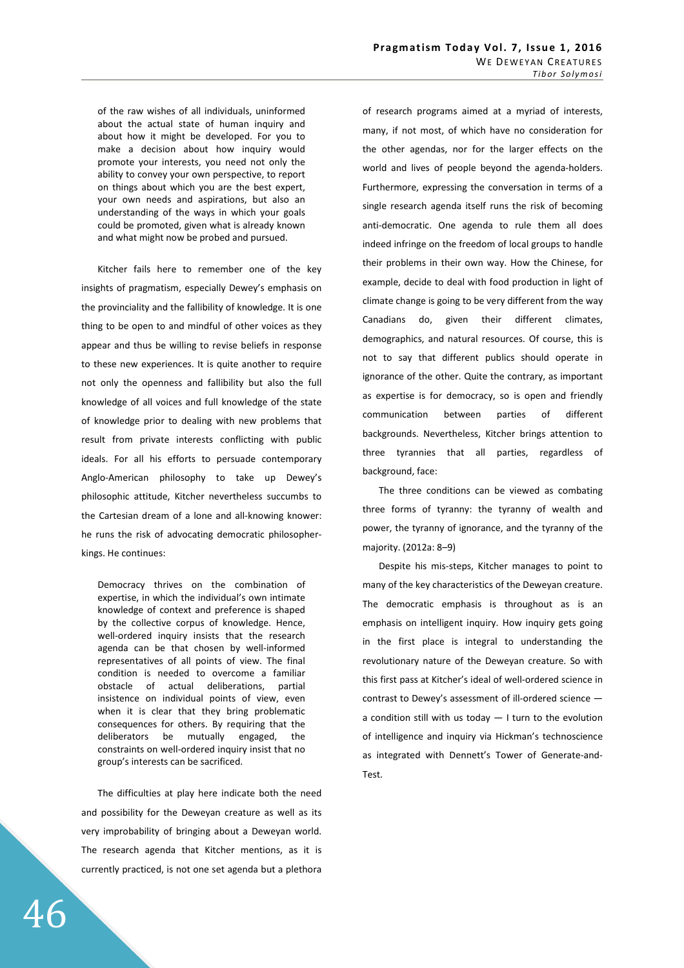of the raw wishes of all individuals, uninformed about the actual state of human inquiry and about how it might be developed. For you to make a decision about how inquiry would promote your interests, you need not only the ability to convey your own perspective, to report on things about which you are the best expert, your own needs and aspirations, but also an understanding of the ways in which your goals could be promoted, given what is already known and what might now be probed and pursued.

Kitcher fails here to remember one of the key insights of pragmatism, especially Dewey's emphasis on the provinciality and the fallibility of knowledge. It is one thing to be open to and mindful of other voices as they appear and thus be willing to revise beliefs in response to these new experiences. It is quite another to require not only the openness and fallibility but also the full knowledge of all voices and full knowledge of the state of knowledge prior to dealing with new problems that result from private interests conflicting with public ideals. For all his efforts to persuade contemporary Anglo-American philosophy to take up Dewey's philosophic attitude, Kitcher nevertheless succumbs to the Cartesian dream of a lone and all-knowing knower: he runs the risk of advocating democratic philosopherkings. He continues:

Democracy thrives on the combination of expertise, in which the individual's own intimate knowledge of context and preference is shaped by the collective corpus of knowledge. Hence, well-ordered inquiry insists that the research agenda can be that chosen by well-informed representatives of all points of view. The final condition is needed to overcome a familiar obstacle of actual deliberations, partial insistence on individual points of view, even when it is clear that they bring problematic consequences for others. By requiring that the deliberators be mutually engaged, the constraints on well-ordered inquiry insist that no group's interests can be sacrificed.

The difficulties at play here indicate both the need and possibility for the Deweyan creature as well as its very improbability of bringing about a Deweyan world. The research agenda that Kitcher mentions, as it is currently practiced, is not one set agenda but a plethora of research programs aimed at a myriad of interests, many, if not most, of which have no consideration for the other agendas, nor for the larger effects on the world and lives of people beyond the agenda-holders. Furthermore, expressing the conversation in terms of a single research agenda itself runs the risk of becoming anti-democratic. One agenda to rule them all does indeed infringe on the freedom of local groups to handle their problems in their own way. How the Chinese, for example, decide to deal with food production in light of climate change is going to be very different from the way Canadians do, given their different climates, demographics, and natural resources. Of course, this is not to say that different publics should operate in ignorance of the other. Quite the contrary, as important as expertise is for democracy, so is open and friendly communication between parties of different backgrounds. Nevertheless, Kitcher brings attention to three tyrannies that all parties, regardless of background, face:

The three conditions can be viewed as combating three forms of tyranny: the tyranny of wealth and power, the tyranny of ignorance, and the tyranny of the majority. (2012a: 8–9)

Despite his mis-steps, Kitcher manages to point to many of the key characteristics of the Deweyan creature. The democratic emphasis is throughout as is an emphasis on intelligent inquiry. How inquiry gets going in the first place is integral to understanding the revolutionary nature of the Deweyan creature. So with this first pass at Kitcher's ideal of well-ordered science in contrast to Dewey's assessment of ill-ordered science a condition still with us today  $-1$  turn to the evolution of intelligence and inquiry via Hickman's technoscience as integrated with Dennett's Tower of Generate-and-Test.

46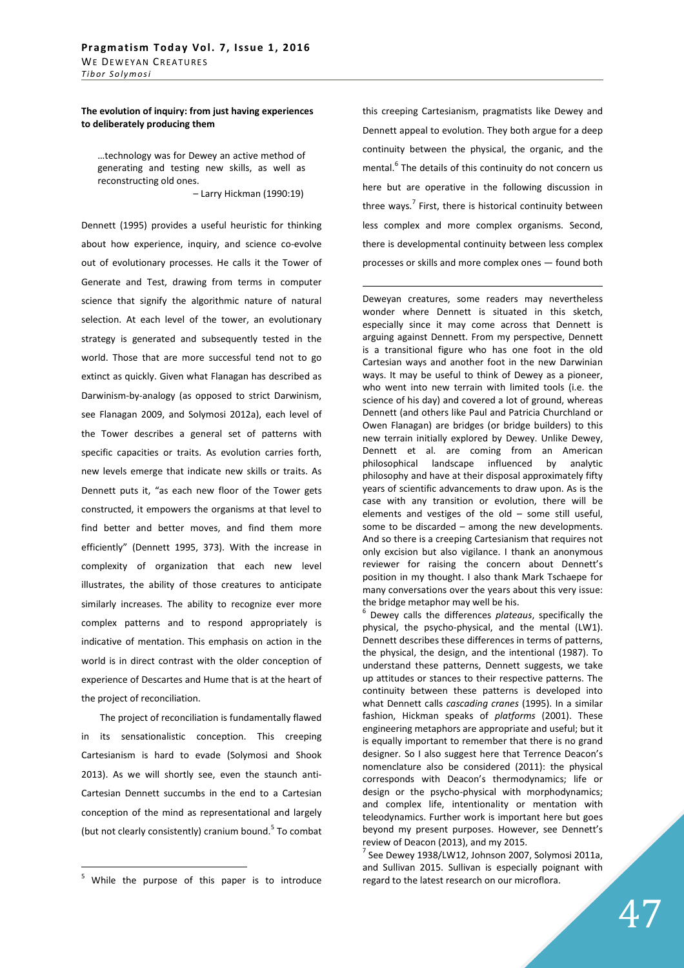**The evolution of inquiry: from just having experiences to deliberately producing them** 

…technology was for Dewey an active method of generating and testing new skills, as well as reconstructing old ones. – Larry Hickman (1990:19)

Dennett (1995) provides a useful heuristic for thinking about how experience, inquiry, and science co-evolve out of evolutionary processes. He calls it the Tower of Generate and Test, drawing from terms in computer science that signify the algorithmic nature of natural selection. At each level of the tower, an evolutionary strategy is generated and subsequently tested in the world. Those that are more successful tend not to go extinct as quickly. Given what Flanagan has described as Darwinism-by-analogy (as opposed to strict Darwinism, see Flanagan 2009, and Solymosi 2012a), each level of the Tower describes a general set of patterns with specific capacities or traits. As evolution carries forth, new levels emerge that indicate new skills or traits. As Dennett puts it, "as each new floor of the Tower gets constructed, it empowers the organisms at that level to find better and better moves, and find them more efficiently" (Dennett 1995, 373). With the increase in complexity of organization that each new level illustrates, the ability of those creatures to anticipate similarly increases. The ability to recognize ever more complex patterns and to respond appropriately is indicative of mentation. This emphasis on action in the world is in direct contrast with the older conception of experience of Descartes and Hume that is at the heart of the project of reconciliation.

 The project of reconciliation is fundamentally flawed in its sensationalistic conception. This creeping Cartesianism is hard to evade (Solymosi and Shook 2013). As we will shortly see, even the staunch anti-Cartesian Dennett succumbs in the end to a Cartesian conception of the mind as representational and largely (but not clearly consistently) cranium bound.<sup>5</sup> To combat

 $\overline{a}$ 

this creeping Cartesianism, pragmatists like Dewey and Dennett appeal to evolution. They both argue for a deep continuity between the physical, the organic, and the mental.<sup>6</sup> The details of this continuity do not concern us here but are operative in the following discussion in three ways.<sup>7</sup> First, there is historical continuity between less complex and more complex organisms. Second, there is developmental continuity between less complex processes or skills and more complex ones — found both

 $\overline{a}$ 

Deweyan creatures, some readers may nevertheless wonder where Dennett is situated in this sketch, especially since it may come across that Dennett is arguing against Dennett. From my perspective, Dennett is a transitional figure who has one foot in the old Cartesian ways and another foot in the new Darwinian ways. It may be useful to think of Dewey as a pioneer, who went into new terrain with limited tools (i.e. the science of his day) and covered a lot of ground, whereas Dennett (and others like Paul and Patricia Churchland or Owen Flanagan) are bridges (or bridge builders) to this new terrain initially explored by Dewey. Unlike Dewey, Dennett et al. are coming from an American philosophical landscape influenced by analytic philosophy and have at their disposal approximately fifty years of scientific advancements to draw upon. As is the case with any transition or evolution, there will be elements and vestiges of the old – some still useful, some to be discarded – among the new developments. And so there is a creeping Cartesianism that requires not only excision but also vigilance. I thank an anonymous reviewer for raising the concern about Dennett's position in my thought. I also thank Mark Tschaepe for many conversations over the years about this very issue: the bridge metaphor may well be his.

6 Dewey calls the differences *plateaus*, specifically the physical, the psycho-physical, and the mental (LW1). Dennett describes these differences in terms of patterns, the physical, the design, and the intentional (1987). To understand these patterns, Dennett suggests, we take up attitudes or stances to their respective patterns. The continuity between these patterns is developed into what Dennett calls *cascading cranes* (1995). In a similar fashion, Hickman speaks of *platforms* (2001). These engineering metaphors are appropriate and useful; but it is equally important to remember that there is no grand designer. So I also suggest here that Terrence Deacon's nomenclature also be considered (2011): the physical corresponds with Deacon's thermodynamics; life or design or the psycho-physical with morphodynamics; and complex life, intentionality or mentation with teleodynamics. Further work is important here but goes beyond my present purposes. However, see Dennett's review of Deacon (2013), and my 2015.

<sup>7</sup> See Dewey 1938/LW12, Johnson 2007, Solymosi 2011a, and Sullivan 2015. Sullivan is especially poignant with regard to the latest research on our microflora.

<sup>&</sup>lt;sup>5</sup> While the purpose of this paper is to introduce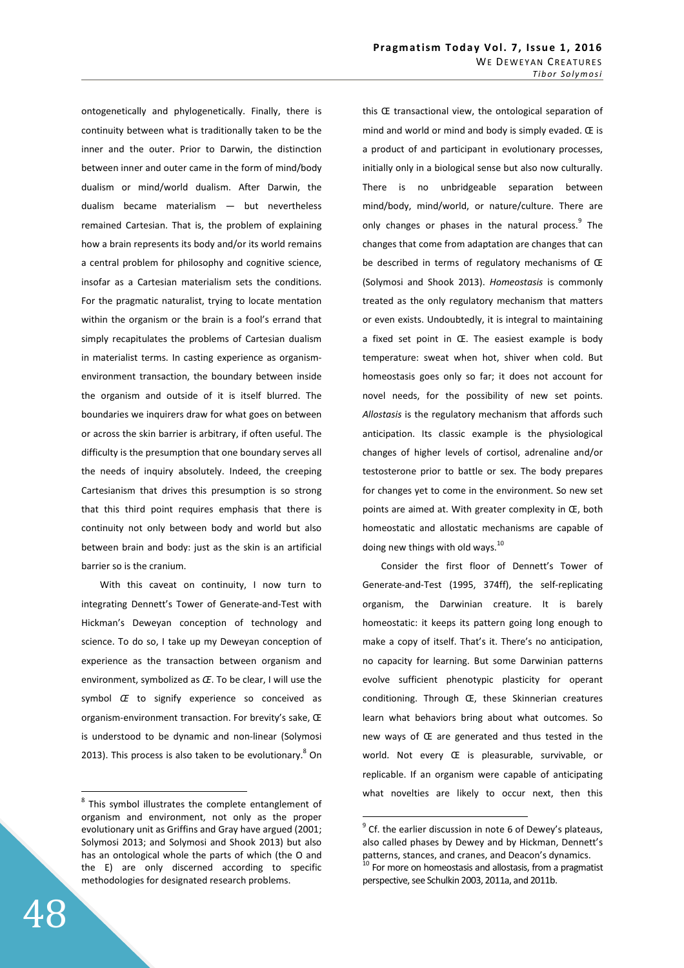ontogenetically and phylogenetically. Finally, there is continuity between what is traditionally taken to be the inner and the outer. Prior to Darwin, the distinction between inner and outer came in the form of mind/body dualism or mind/world dualism. After Darwin, the dualism became materialism — but nevertheless remained Cartesian. That is, the problem of explaining how a brain represents its body and/or its world remains a central problem for philosophy and cognitive science, insofar as a Cartesian materialism sets the conditions. For the pragmatic naturalist, trying to locate mentation within the organism or the brain is a fool's errand that simply recapitulates the problems of Cartesian dualism in materialist terms. In casting experience as organismenvironment transaction, the boundary between inside the organism and outside of it is itself blurred. The boundaries we inquirers draw for what goes on between or across the skin barrier is arbitrary, if often useful. The difficulty is the presumption that one boundary serves all the needs of inquiry absolutely. Indeed, the creeping Cartesianism that drives this presumption is so strong that this third point requires emphasis that there is continuity not only between body and world but also between brain and body: just as the skin is an artificial barrier so is the cranium.

 With this caveat on continuity, I now turn to integrating Dennett's Tower of Generate-and-Test with Hickman's Deweyan conception of technology and science. To do so, I take up my Deweyan conception of experience as the transaction between organism and environment, symbolized as *Œ*. To be clear, I will use the symbol *Œ* to signify experience so conceived as organism-environment transaction. For brevity's sake, Œ is understood to be dynamic and non-linear (Solymosi 2013). This process is also taken to be evolutionary. $8$  On this Œ transactional view, the ontological separation of mind and world or mind and body is simply evaded. Œ is a product of and participant in evolutionary processes, initially only in a biological sense but also now culturally. There is no unbridgeable separation between mind/body, mind/world, or nature/culture. There are only changes or phases in the natural process.<sup>9</sup> The changes that come from adaptation are changes that can be described in terms of regulatory mechanisms of Œ (Solymosi and Shook 2013). *Homeostasis* is commonly treated as the only regulatory mechanism that matters or even exists. Undoubtedly, it is integral to maintaining a fixed set point in Œ. The easiest example is body temperature: sweat when hot, shiver when cold. But homeostasis goes only so far; it does not account for novel needs, for the possibility of new set points. *Allostasis* is the regulatory mechanism that affords such anticipation. Its classic example is the physiological changes of higher levels of cortisol, adrenaline and/or testosterone prior to battle or sex. The body prepares for changes yet to come in the environment. So new set points are aimed at. With greater complexity in Œ, both homeostatic and allostatic mechanisms are capable of doing new things with old ways.<sup>10</sup>

 Consider the first floor of Dennett's Tower of Generate-and-Test (1995, 374ff), the self-replicating organism, the Darwinian creature. It is barely homeostatic: it keeps its pattern going long enough to make a copy of itself. That's it. There's no anticipation, no capacity for learning. But some Darwinian patterns evolve sufficient phenotypic plasticity for operant conditioning. Through Œ, these Skinnerian creatures learn what behaviors bring about what outcomes. So new ways of Œ are generated and thus tested in the world. Not every Œ is pleasurable, survivable, or replicable. If an organism were capable of anticipating what novelties are likely to occur next, then this

 $\overline{a}$ 

<sup>&</sup>lt;sup>8</sup> This symbol illustrates the complete entanglement of organism and environment, not only as the proper evolutionary unit as Griffins and Gray have argued (2001; Solymosi 2013; and Solymosi and Shook 2013) but also has an ontological whole the parts of which (the O and the E) are only discerned according to specific methodologies for designated research problems.

 $9^9$  Cf. the earlier discussion in note 6 of Dewey's plateaus, also called phases by Dewey and by Hickman, Dennett's patterns, stances, and cranes, and Deacon's dynamics.  $^{10}$  For more on homeostasis and allostasis, from a pragmatist perspective, see Schulkin 2003, 2011a, and 2011b.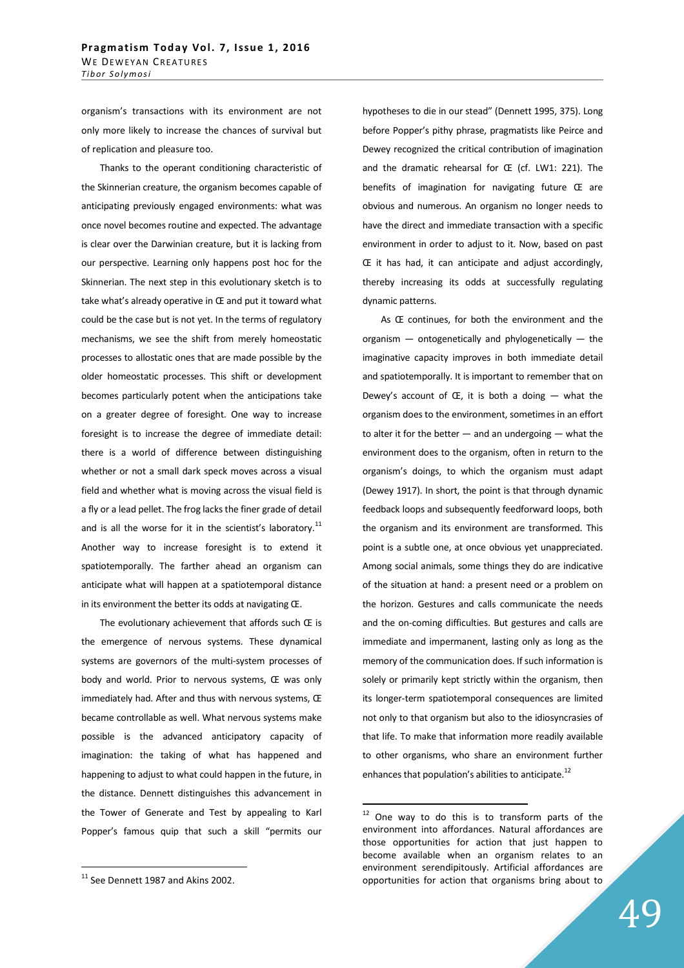organism's transactions with its environment are not only more likely to increase the chances of survival but of replication and pleasure too.

 Thanks to the operant conditioning characteristic of the Skinnerian creature, the organism becomes capable of anticipating previously engaged environments: what was once novel becomes routine and expected. The advantage is clear over the Darwinian creature, but it is lacking from our perspective. Learning only happens post hoc for the Skinnerian. The next step in this evolutionary sketch is to take what's already operative in Œ and put it toward what could be the case but is not yet. In the terms of regulatory mechanisms, we see the shift from merely homeostatic processes to allostatic ones that are made possible by the older homeostatic processes. This shift or development becomes particularly potent when the anticipations take on a greater degree of foresight. One way to increase foresight is to increase the degree of immediate detail: there is a world of difference between distinguishing whether or not a small dark speck moves across a visual field and whether what is moving across the visual field is a fly or a lead pellet. The frog lacks the finer grade of detail and is all the worse for it in the scientist's laboratory.<sup>11</sup> Another way to increase foresight is to extend it spatiotemporally. The farther ahead an organism can anticipate what will happen at a spatiotemporal distance in its environment the better its odds at navigating Œ.

The evolutionary achievement that affords such  $E$  is the emergence of nervous systems. These dynamical systems are governors of the multi-system processes of body and world. Prior to nervous systems, Œ was only immediately had. After and thus with nervous systems, Œ became controllable as well. What nervous systems make possible is the advanced anticipatory capacity of imagination: the taking of what has happened and happening to adjust to what could happen in the future, in the distance. Dennett distinguishes this advancement in the Tower of Generate and Test by appealing to Karl Popper's famous quip that such a skill "permits our

 $\overline{a}$ 

hypotheses to die in our stead" (Dennett 1995, 375). Long before Popper's pithy phrase, pragmatists like Peirce and Dewey recognized the critical contribution of imagination and the dramatic rehearsal for Œ (cf. LW1: 221). The benefits of imagination for navigating future Œ are obvious and numerous. An organism no longer needs to have the direct and immediate transaction with a specific environment in order to adjust to it. Now, based on past Œ it has had, it can anticipate and adjust accordingly, thereby increasing its odds at successfully regulating dynamic patterns.

 As Œ continues, for both the environment and the organism  $-$  ontogenetically and phylogenetically  $-$  the imaginative capacity improves in both immediate detail and spatiotemporally. It is important to remember that on Dewey's account of  $E$ , it is both a doing  $-$  what the organism does to the environment, sometimes in an effort to alter it for the better  $-$  and an undergoing  $-$  what the environment does to the organism, often in return to the organism's doings, to which the organism must adapt (Dewey 1917). In short, the point is that through dynamic feedback loops and subsequently feedforward loops, both the organism and its environment are transformed. This point is a subtle one, at once obvious yet unappreciated. Among social animals, some things they do are indicative of the situation at hand: a present need or a problem on the horizon. Gestures and calls communicate the needs and the on-coming difficulties. But gestures and calls are immediate and impermanent, lasting only as long as the memory of the communication does. If such information is solely or primarily kept strictly within the organism, then its longer-term spatiotemporal consequences are limited not only to that organism but also to the idiosyncrasies of that life. To make that information more readily available to other organisms, who share an environment further enhances that population's abilities to anticipate.<sup>12</sup>

 $\overline{a}$ 

49

 $11$  See Dennett 1987 and Akins 2002.

<sup>&</sup>lt;sup>12</sup> One way to do this is to transform parts of the environment into affordances. Natural affordances are those opportunities for action that just happen to become available when an organism relates to an environment serendipitously. Artificial affordances are opportunities for action that organisms bring about to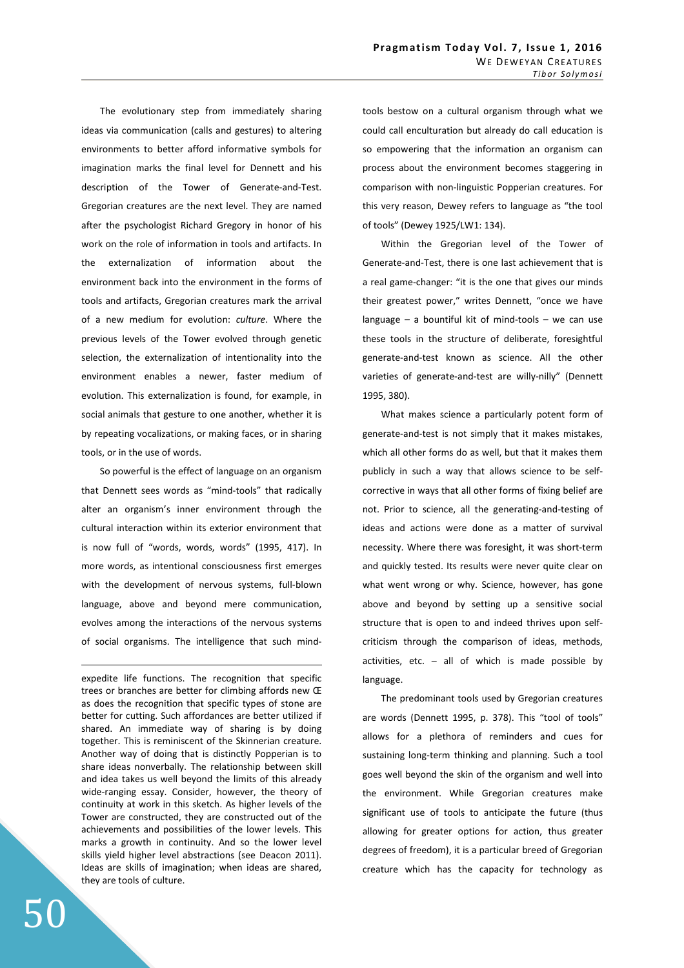The evolutionary step from immediately sharing ideas via communication (calls and gestures) to altering environments to better afford informative symbols for imagination marks the final level for Dennett and his description of the Tower of Generate-and-Test. Gregorian creatures are the next level. They are named after the psychologist Richard Gregory in honor of his work on the role of information in tools and artifacts. In the externalization of information about the environment back into the environment in the forms of tools and artifacts, Gregorian creatures mark the arrival of a new medium for evolution: *culture*. Where the previous levels of the Tower evolved through genetic selection, the externalization of intentionality into the environment enables a newer, faster medium of evolution. This externalization is found, for example, in social animals that gesture to one another, whether it is by repeating vocalizations, or making faces, or in sharing tools, or in the use of words.

 So powerful is the effect of language on an organism that Dennett sees words as "mind-tools" that radically alter an organism's inner environment through the cultural interaction within its exterior environment that is now full of "words, words, words" (1995, 417). In more words, as intentional consciousness first emerges with the development of nervous systems, full-blown language, above and beyond mere communication, evolves among the interactions of the nervous systems of social organisms. The intelligence that such mind-

expedite life functions. The recognition that specific trees or branches are better for climbing affords new Œ as does the recognition that specific types of stone are better for cutting. Such affordances are better utilized if shared. An immediate way of sharing is by doing together. This is reminiscent of the Skinnerian creature. Another way of doing that is distinctly Popperian is to share ideas nonverbally. The relationship between skill and idea takes us well beyond the limits of this already wide-ranging essay. Consider, however, the theory of continuity at work in this sketch. As higher levels of the Tower are constructed, they are constructed out of the achievements and possibilities of the lower levels. This marks a growth in continuity. And so the lower level skills yield higher level abstractions (see Deacon 2011). Ideas are skills of imagination; when ideas are shared, they are tools of culture.

tools bestow on a cultural organism through what we could call enculturation but already do call education is so empowering that the information an organism can process about the environment becomes staggering in comparison with non-linguistic Popperian creatures. For this very reason, Dewey refers to language as "the tool of tools" (Dewey 1925/LW1: 134).

 Within the Gregorian level of the Tower of Generate-and-Test, there is one last achievement that is a real game-changer: "it is the one that gives our minds their greatest power," writes Dennett, "once we have language  $-$  a bountiful kit of mind-tools  $-$  we can use these tools in the structure of deliberate, foresightful generate-and-test known as science. All the other varieties of generate-and-test are willy-nilly" (Dennett 1995, 380).

 What makes science a particularly potent form of generate-and-test is not simply that it makes mistakes, which all other forms do as well, but that it makes them publicly in such a way that allows science to be selfcorrective in ways that all other forms of fixing belief are not. Prior to science, all the generating-and-testing of ideas and actions were done as a matter of survival necessity. Where there was foresight, it was short-term and quickly tested. Its results were never quite clear on what went wrong or why. Science, however, has gone above and beyond by setting up a sensitive social structure that is open to and indeed thrives upon selfcriticism through the comparison of ideas, methods, activities, etc.  $-$  all of which is made possible by language.

 The predominant tools used by Gregorian creatures are words (Dennett 1995, p. 378). This "tool of tools" allows for a plethora of reminders and cues for sustaining long-term thinking and planning. Such a tool goes well beyond the skin of the organism and well into the environment. While Gregorian creatures make significant use of tools to anticipate the future (thus allowing for greater options for action, thus greater degrees of freedom), it is a particular breed of Gregorian creature which has the capacity for technology as

<u>.</u>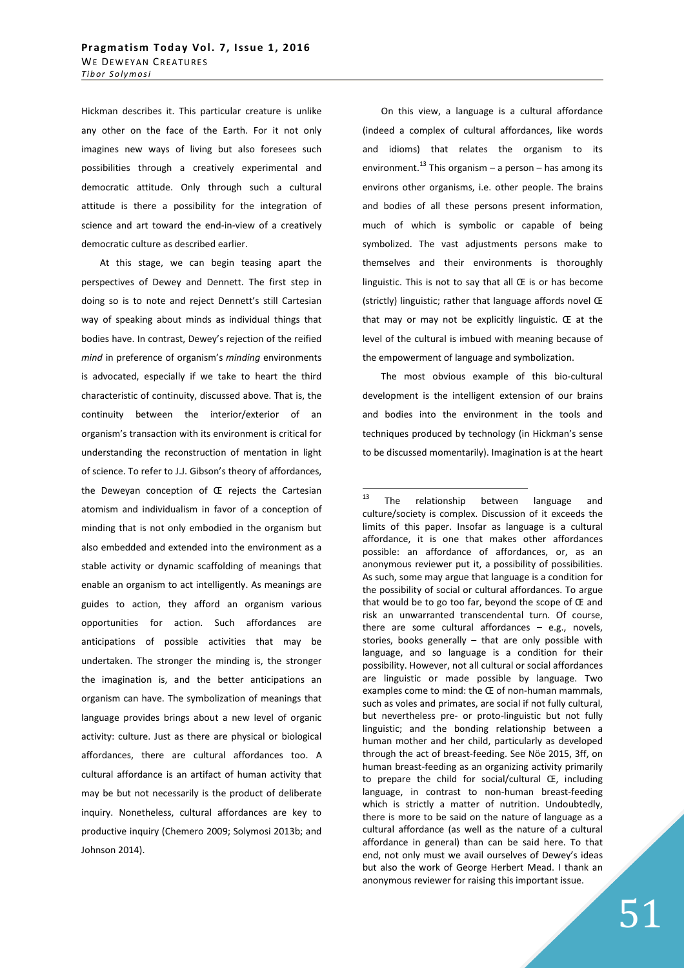Hickman describes it. This particular creature is unlike any other on the face of the Earth. For it not only imagines new ways of living but also foresees such possibilities through a creatively experimental and democratic attitude. Only through such a cultural attitude is there a possibility for the integration of science and art toward the end-in-view of a creatively democratic culture as described earlier.

 At this stage, we can begin teasing apart the perspectives of Dewey and Dennett. The first step in doing so is to note and reject Dennett's still Cartesian way of speaking about minds as individual things that bodies have. In contrast, Dewey's rejection of the reified *mind* in preference of organism's *minding* environments is advocated, especially if we take to heart the third characteristic of continuity, discussed above. That is, the continuity between the interior/exterior of an organism's transaction with its environment is critical for understanding the reconstruction of mentation in light of science. To refer to J.J. Gibson's theory of affordances, the Deweyan conception of Œ rejects the Cartesian atomism and individualism in favor of a conception of minding that is not only embodied in the organism but also embedded and extended into the environment as a stable activity or dynamic scaffolding of meanings that enable an organism to act intelligently. As meanings are guides to action, they afford an organism various opportunities for action. Such affordances are anticipations of possible activities that may be undertaken. The stronger the minding is, the stronger the imagination is, and the better anticipations an organism can have. The symbolization of meanings that language provides brings about a new level of organic activity: culture. Just as there are physical or biological affordances, there are cultural affordances too. A cultural affordance is an artifact of human activity that may be but not necessarily is the product of deliberate inquiry. Nonetheless, cultural affordances are key to productive inquiry (Chemero 2009; Solymosi 2013b; and Johnson 2014).

 On this view, a language is a cultural affordance (indeed a complex of cultural affordances, like words and idioms) that relates the organism to its environment.<sup>13</sup> This organism – a person – has among its environs other organisms, i.e. other people. The brains and bodies of all these persons present information, much of which is symbolic or capable of being symbolized. The vast adjustments persons make to themselves and their environments is thoroughly linguistic. This is not to say that all Œ is or has become (strictly) linguistic; rather that language affords novel Œ that may or may not be explicitly linguistic. Œ at the level of the cultural is imbued with meaning because of the empowerment of language and symbolization.

 The most obvious example of this bio-cultural development is the intelligent extension of our brains and bodies into the environment in the tools and techniques produced by technology (in Hickman's sense to be discussed momentarily). Imagination is at the heart

 $13$ The relationship between language and culture/society is complex. Discussion of it exceeds the limits of this paper. Insofar as language is a cultural affordance, it is one that makes other affordances possible: an affordance of affordances, or, as an anonymous reviewer put it, a possibility of possibilities. As such, some may argue that language is a condition for the possibility of social or cultural affordances. To argue that would be to go too far, beyond the scope of Œ and risk an unwarranted transcendental turn. Of course, there are some cultural affordances – e.g., novels, stories, books generally – that are only possible with language, and so language is a condition for their possibility. However, not all cultural or social affordances are linguistic or made possible by language. Two examples come to mind: the Œ of non-human mammals, such as voles and primates, are social if not fully cultural, but nevertheless pre- or proto-linguistic but not fully linguistic; and the bonding relationship between a human mother and her child, particularly as developed through the act of breast-feeding. See Nöe 2015, 3ff, on human breast-feeding as an organizing activity primarily to prepare the child for social/cultural Œ, including language, in contrast to non-human breast-feeding which is strictly a matter of nutrition. Undoubtedly, there is more to be said on the nature of language as a cultural affordance (as well as the nature of a cultural affordance in general) than can be said here. To that end, not only must we avail ourselves of Dewey's ideas but also the work of George Herbert Mead. I thank an anonymous reviewer for raising this important issue.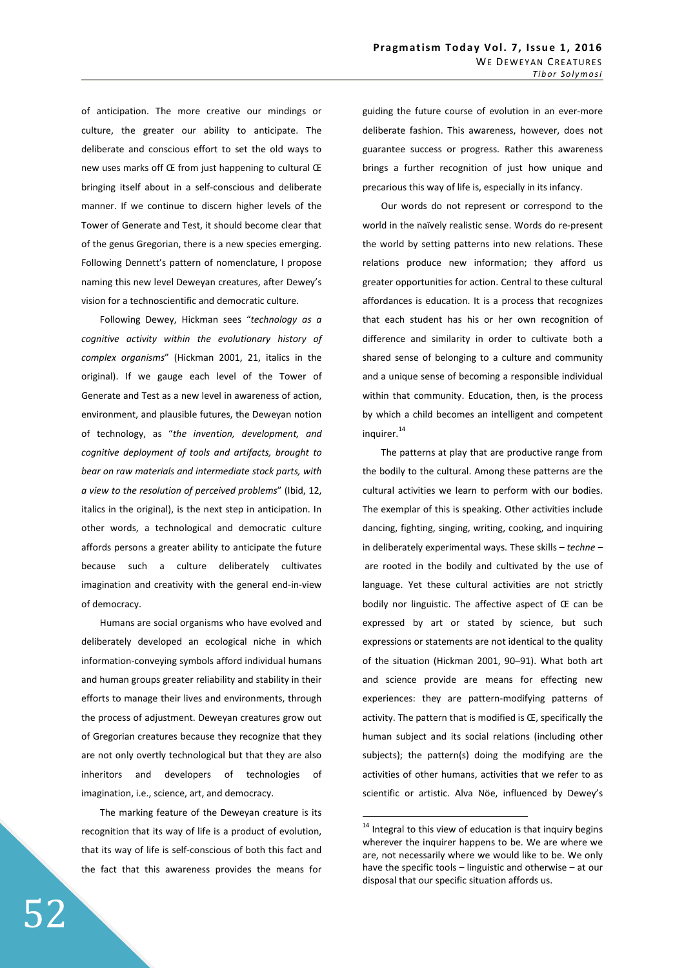of anticipation. The more creative our mindings or culture, the greater our ability to anticipate. The deliberate and conscious effort to set the old ways to new uses marks off Œ from just happening to cultural Œ bringing itself about in a self-conscious and deliberate manner. If we continue to discern higher levels of the Tower of Generate and Test, it should become clear that of the genus Gregorian, there is a new species emerging. Following Dennett's pattern of nomenclature, I propose naming this new level Deweyan creatures, after Dewey's vision for a technoscientific and democratic culture.

 Following Dewey, Hickman sees "*technology as a cognitive activity within the evolutionary history of complex organisms*" (Hickman 2001, 21, italics in the original). If we gauge each level of the Tower of Generate and Test as a new level in awareness of action, environment, and plausible futures, the Deweyan notion of technology, as "*the invention, development, and cognitive deployment of tools and artifacts, brought to bear on raw materials and intermediate stock parts, with a view to the resolution of perceived problems*" (Ibid, 12, italics in the original), is the next step in anticipation. In other words, a technological and democratic culture affords persons a greater ability to anticipate the future because such a culture deliberately cultivates imagination and creativity with the general end-in-view of democracy.

 Humans are social organisms who have evolved and deliberately developed an ecological niche in which information-conveying symbols afford individual humans and human groups greater reliability and stability in their efforts to manage their lives and environments, through the process of adjustment. Deweyan creatures grow out of Gregorian creatures because they recognize that they are not only overtly technological but that they are also inheritors and developers of technologies of imagination, i.e., science, art, and democracy.

 The marking feature of the Deweyan creature is its recognition that its way of life is a product of evolution, that its way of life is self-conscious of both this fact and the fact that this awareness provides the means for guiding the future course of evolution in an ever-more deliberate fashion. This awareness, however, does not guarantee success or progress. Rather this awareness brings a further recognition of just how unique and precarious this way of life is, especially in its infancy.

 Our words do not represent or correspond to the world in the naïvely realistic sense. Words do re-present the world by setting patterns into new relations. These relations produce new information; they afford us greater opportunities for action. Central to these cultural affordances is education. It is a process that recognizes that each student has his or her own recognition of difference and similarity in order to cultivate both a shared sense of belonging to a culture and community and a unique sense of becoming a responsible individual within that community. Education, then, is the process by which a child becomes an intelligent and competent inquirer.<sup>14</sup>

 The patterns at play that are productive range from the bodily to the cultural. Among these patterns are the cultural activities we learn to perform with our bodies. The exemplar of this is speaking. Other activities include dancing, fighting, singing, writing, cooking, and inquiring in deliberately experimental ways. These skills – *techne* – are rooted in the bodily and cultivated by the use of language. Yet these cultural activities are not strictly bodily nor linguistic. The affective aspect of Œ can be expressed by art or stated by science, but such expressions or statements are not identical to the quality of the situation (Hickman 2001, 90–91). What both art and science provide are means for effecting new experiences: they are pattern-modifying patterns of activity. The pattern that is modified is Œ, specifically the human subject and its social relations (including other subjects); the pattern(s) doing the modifying are the activities of other humans, activities that we refer to as scientific or artistic. Alva Nöe, influenced by Dewey's

 $14$  Integral to this view of education is that inquiry begins wherever the inquirer happens to be. We are where we are, not necessarily where we would like to be. We only have the specific tools – linguistic and otherwise – at our disposal that our specific situation affords us.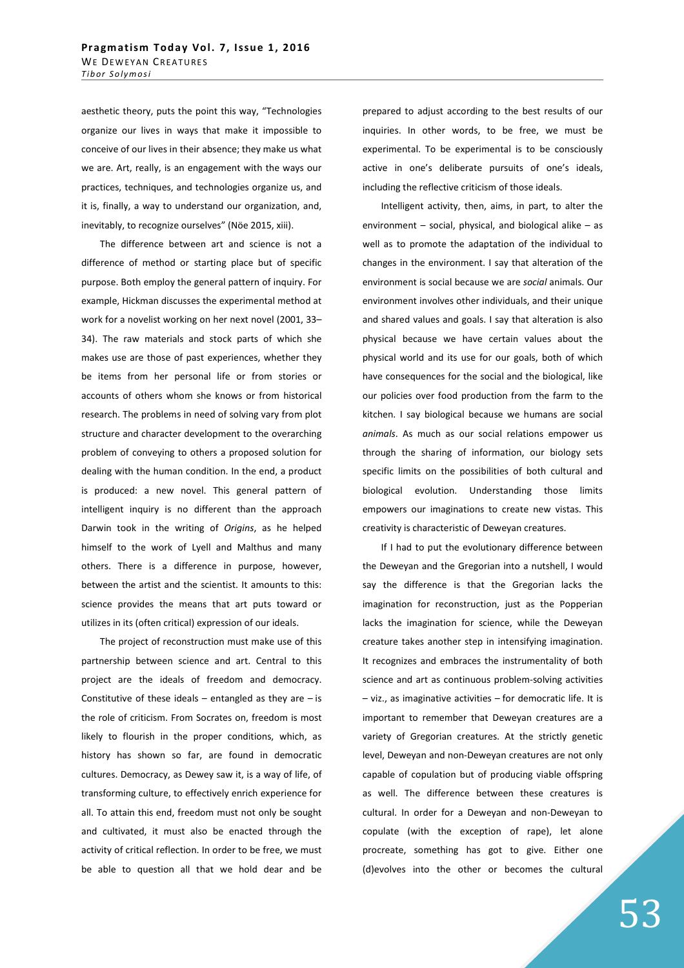aesthetic theory, puts the point this way, "Technologies organize our lives in ways that make it impossible to conceive of our lives in their absence; they make us what we are. Art, really, is an engagement with the ways our practices, techniques, and technologies organize us, and it is, finally, a way to understand our organization, and, inevitably, to recognize ourselves" (Nöe 2015, xiii).

 The difference between art and science is not a difference of method or starting place but of specific purpose. Both employ the general pattern of inquiry. For example, Hickman discusses the experimental method at work for a novelist working on her next novel (2001, 33– 34). The raw materials and stock parts of which she makes use are those of past experiences, whether they be items from her personal life or from stories or accounts of others whom she knows or from historical research. The problems in need of solving vary from plot structure and character development to the overarching problem of conveying to others a proposed solution for dealing with the human condition. In the end, a product is produced: a new novel. This general pattern of intelligent inquiry is no different than the approach Darwin took in the writing of *Origins*, as he helped himself to the work of Lyell and Malthus and many others. There is a difference in purpose, however, between the artist and the scientist. It amounts to this: science provides the means that art puts toward or utilizes in its (often critical) expression of our ideals.

 The project of reconstruction must make use of this partnership between science and art. Central to this project are the ideals of freedom and democracy. Constitutive of these ideals – entangled as they are  $-$  is the role of criticism. From Socrates on, freedom is most likely to flourish in the proper conditions, which, as history has shown so far, are found in democratic cultures. Democracy, as Dewey saw it, is a way of life, of transforming culture, to effectively enrich experience for all. To attain this end, freedom must not only be sought and cultivated, it must also be enacted through the activity of critical reflection. In order to be free, we must be able to question all that we hold dear and be

prepared to adjust according to the best results of our inquiries. In other words, to be free, we must be experimental. To be experimental is to be consciously active in one's deliberate pursuits of one's ideals, including the reflective criticism of those ideals.

 Intelligent activity, then, aims, in part, to alter the environment – social, physical, and biological alike – as well as to promote the adaptation of the individual to changes in the environment. I say that alteration of the environment is social because we are *social* animals. Our environment involves other individuals, and their unique and shared values and goals. I say that alteration is also physical because we have certain values about the physical world and its use for our goals, both of which have consequences for the social and the biological, like our policies over food production from the farm to the kitchen. I say biological because we humans are social *animals*. As much as our social relations empower us through the sharing of information, our biology sets specific limits on the possibilities of both cultural and biological evolution. Understanding those limits empowers our imaginations to create new vistas. This creativity is characteristic of Deweyan creatures.

 If I had to put the evolutionary difference between the Deweyan and the Gregorian into a nutshell, I would say the difference is that the Gregorian lacks the imagination for reconstruction, just as the Popperian lacks the imagination for science, while the Deweyan creature takes another step in intensifying imagination. It recognizes and embraces the instrumentality of both science and art as continuous problem-solving activities – viz., as imaginative activities – for democratic life. It is important to remember that Deweyan creatures are a variety of Gregorian creatures. At the strictly genetic level, Deweyan and non-Deweyan creatures are not only capable of copulation but of producing viable offspring as well. The difference between these creatures is cultural. In order for a Deweyan and non-Deweyan to copulate (with the exception of rape), let alone procreate, something has got to give. Either one (d)evolves into the other or becomes the cultural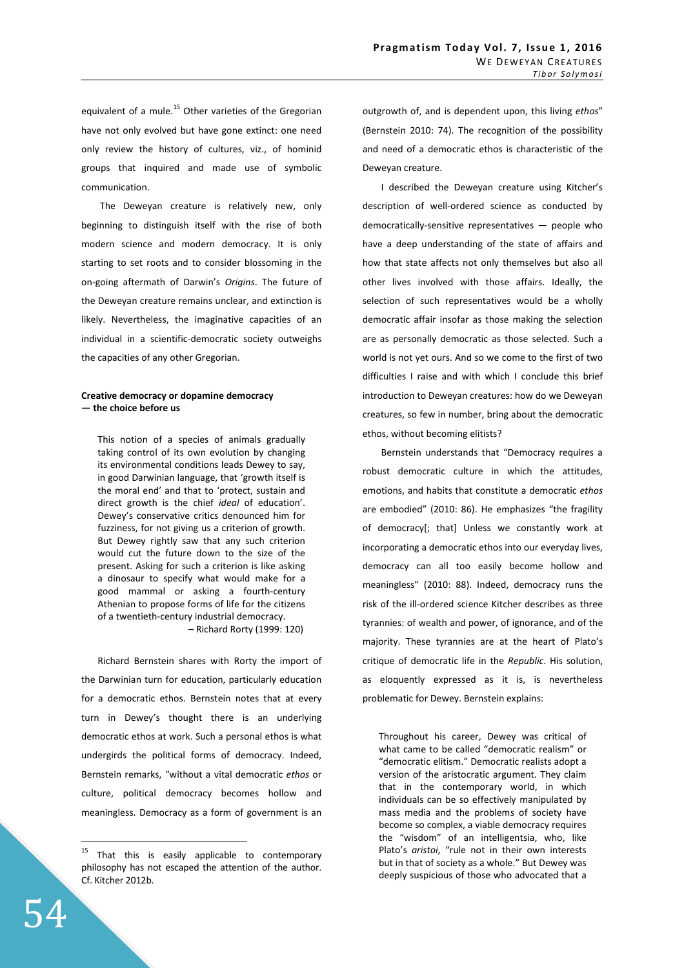equivalent of a mule.<sup>15</sup> Other varieties of the Gregorian have not only evolved but have gone extinct: one need only review the history of cultures, viz., of hominid groups that inquired and made use of symbolic communication.

 The Deweyan creature is relatively new, only beginning to distinguish itself with the rise of both modern science and modern democracy. It is only starting to set roots and to consider blossoming in the on-going aftermath of Darwin's *Origins*. The future of the Deweyan creature remains unclear, and extinction is likely. Nevertheless, the imaginative capacities of an individual in a scientific-democratic society outweighs the capacities of any other Gregorian.

## **Creative democracy or dopamine democracy — the choice before us**

This notion of a species of animals gradually taking control of its own evolution by changing its environmental conditions leads Dewey to say, in good Darwinian language, that 'growth itself is the moral end' and that to 'protect, sustain and direct growth is the chief *ideal* of education'. Dewey's conservative critics denounced him for fuzziness, for not giving us a criterion of growth. But Dewey rightly saw that any such criterion would cut the future down to the size of the present. Asking for such a criterion is like asking a dinosaur to specify what would make for a good mammal or asking a fourth-century Athenian to propose forms of life for the citizens of a twentieth-century industrial democracy. – Richard Rorty (1999: 120)

Richard Bernstein shares with Rorty the import of the Darwinian turn for education, particularly education for a democratic ethos. Bernstein notes that at every turn in Dewey's thought there is an underlying democratic ethos at work. Such a personal ethos is what undergirds the political forms of democracy. Indeed, Bernstein remarks, "without a vital democratic *ethos* or culture, political democracy becomes hollow and meaningless. Democracy as a form of government is an outgrowth of, and is dependent upon, this living *ethos*" (Bernstein 2010: 74). The recognition of the possibility and need of a democratic ethos is characteristic of the Deweyan creature.

 I described the Deweyan creature using Kitcher's description of well-ordered science as conducted by democratically-sensitive representatives — people who have a deep understanding of the state of affairs and how that state affects not only themselves but also all other lives involved with those affairs. Ideally, the selection of such representatives would be a wholly democratic affair insofar as those making the selection are as personally democratic as those selected. Such a world is not yet ours. And so we come to the first of two difficulties I raise and with which I conclude this brief introduction to Deweyan creatures: how do we Deweyan creatures, so few in number, bring about the democratic ethos, without becoming elitists?

 Bernstein understands that "Democracy requires a robust democratic culture in which the attitudes, emotions, and habits that constitute a democratic *ethos* are embodied" (2010: 86). He emphasizes "the fragility of democracy[; that] Unless we constantly work at incorporating a democratic ethos into our everyday lives, democracy can all too easily become hollow and meaningless" (2010: 88). Indeed, democracy runs the risk of the ill-ordered science Kitcher describes as three tyrannies: of wealth and power, of ignorance, and of the majority. These tyrannies are at the heart of Plato's critique of democratic life in the *Republic*. His solution, as eloquently expressed as it is, is nevertheless problematic for Dewey. Bernstein explains:

Throughout his career, Dewey was critical of what came to be called "democratic realism" or "democratic elitism." Democratic realists adopt a version of the aristocratic argument. They claim that in the contemporary world, in which individuals can be so effectively manipulated by mass media and the problems of society have become so complex, a viable democracy requires the "wisdom" of an intelligentsia, who, like Plato's *aristoi*, "rule not in their own interests but in that of society as a whole." But Dewey was deeply suspicious of those who advocated that a

<sup>&</sup>lt;sup>15</sup> That this is easily applicable to contemporary philosophy has not escaped the attention of the author. Cf. Kitcher 2012b.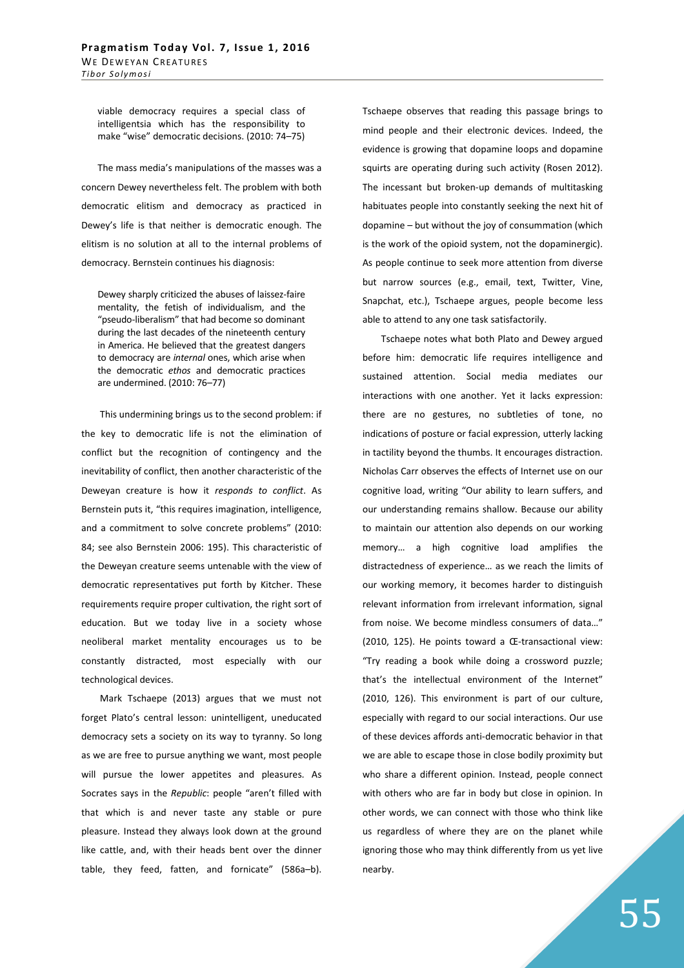viable democracy requires a special class of intelligentsia which has the responsibility to make "wise" democratic decisions. (2010: 74–75)

The mass media's manipulations of the masses was a concern Dewey nevertheless felt. The problem with both democratic elitism and democracy as practiced in Dewey's life is that neither is democratic enough. The elitism is no solution at all to the internal problems of democracy. Bernstein continues his diagnosis:

Dewey sharply criticized the abuses of laissez-faire mentality, the fetish of individualism, and the "pseudo-liberalism" that had become so dominant during the last decades of the nineteenth century in America. He believed that the greatest dangers to democracy are *internal* ones, which arise when the democratic *ethos* and democratic practices are undermined. (2010: 76–77)

 This undermining brings us to the second problem: if the key to democratic life is not the elimination of conflict but the recognition of contingency and the inevitability of conflict, then another characteristic of the Deweyan creature is how it *responds to conflict*. As Bernstein puts it, "this requires imagination, intelligence, and a commitment to solve concrete problems" (2010: 84; see also Bernstein 2006: 195). This characteristic of the Deweyan creature seems untenable with the view of democratic representatives put forth by Kitcher. These requirements require proper cultivation, the right sort of education. But we today live in a society whose neoliberal market mentality encourages us to be constantly distracted, most especially with our technological devices.

 Mark Tschaepe (2013) argues that we must not forget Plato's central lesson: unintelligent, uneducated democracy sets a society on its way to tyranny. So long as we are free to pursue anything we want, most people will pursue the lower appetites and pleasures. As Socrates says in the *Republic*: people "aren't filled with that which is and never taste any stable or pure pleasure. Instead they always look down at the ground like cattle, and, with their heads bent over the dinner table, they feed, fatten, and fornicate" (586a–b). Tschaepe observes that reading this passage brings to mind people and their electronic devices. Indeed, the evidence is growing that dopamine loops and dopamine squirts are operating during such activity (Rosen 2012). The incessant but broken-up demands of multitasking habituates people into constantly seeking the next hit of dopamine – but without the joy of consummation (which is the work of the opioid system, not the dopaminergic). As people continue to seek more attention from diverse but narrow sources (e.g., email, text, Twitter, Vine, Snapchat, etc.), Tschaepe argues, people become less able to attend to any one task satisfactorily.

 Tschaepe notes what both Plato and Dewey argued before him: democratic life requires intelligence and sustained attention. Social media mediates our interactions with one another. Yet it lacks expression: there are no gestures, no subtleties of tone, no indications of posture or facial expression, utterly lacking in tactility beyond the thumbs. It encourages distraction. Nicholas Carr observes the effects of Internet use on our cognitive load, writing "Our ability to learn suffers, and our understanding remains shallow. Because our ability to maintain our attention also depends on our working memory… a high cognitive load amplifies the distractedness of experience… as we reach the limits of our working memory, it becomes harder to distinguish relevant information from irrelevant information, signal from noise. We become mindless consumers of data…" (2010, 125). He points toward a Œ-transactional view: "Try reading a book while doing a crossword puzzle; that's the intellectual environment of the Internet" (2010, 126). This environment is part of our culture, especially with regard to our social interactions. Our use of these devices affords anti-democratic behavior in that we are able to escape those in close bodily proximity but who share a different opinion. Instead, people connect with others who are far in body but close in opinion. In other words, we can connect with those who think like us regardless of where they are on the planet while ignoring those who may think differently from us yet live nearby.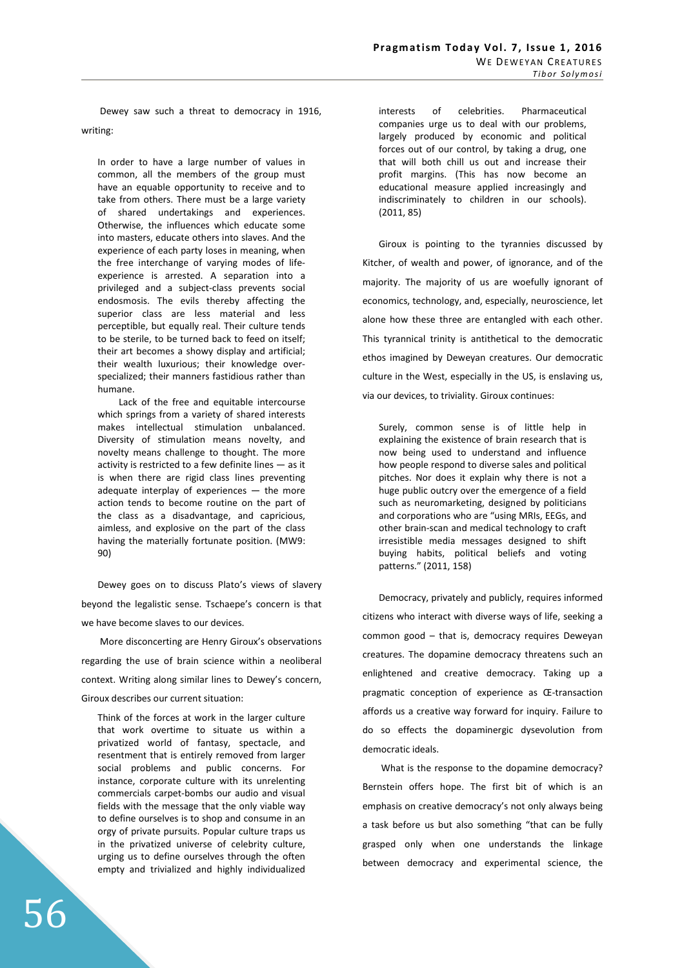Dewey saw such a threat to democracy in 1916, writing:

In order to have a large number of values in common, all the members of the group must have an equable opportunity to receive and to take from others. There must be a large variety of shared undertakings and experiences. Otherwise, the influences which educate some into masters, educate others into slaves. And the experience of each party loses in meaning, when the free interchange of varying modes of lifeexperience is arrested. A separation into a privileged and a subject-class prevents social endosmosis. The evils thereby affecting the superior class are less material and less perceptible, but equally real. Their culture tends to be sterile, to be turned back to feed on itself; their art becomes a showy display and artificial; their wealth luxurious; their knowledge overspecialized; their manners fastidious rather than humane.

 Lack of the free and equitable intercourse which springs from a variety of shared interests makes intellectual stimulation unbalanced. Diversity of stimulation means novelty, and novelty means challenge to thought. The more activity is restricted to a few definite lines — as it is when there are rigid class lines preventing adequate interplay of experiences — the more action tends to become routine on the part of the class as a disadvantage, and capricious, aimless, and explosive on the part of the class having the materially fortunate position. (MW9: 90)

Dewey goes on to discuss Plato's views of slavery beyond the legalistic sense. Tschaepe's concern is that we have become slaves to our devices.

 More disconcerting are Henry Giroux's observations regarding the use of brain science within a neoliberal context. Writing along similar lines to Dewey's concern, Giroux describes our current situation:

Think of the forces at work in the larger culture that work overtime to situate us within a privatized world of fantasy, spectacle, and resentment that is entirely removed from larger social problems and public concerns. For instance, corporate culture with its unrelenting commercials carpet-bombs our audio and visual fields with the message that the only viable way to define ourselves is to shop and consume in an orgy of private pursuits. Popular culture traps us in the privatized universe of celebrity culture, urging us to define ourselves through the often empty and trivialized and highly individualized interests of celebrities. Pharmaceutical companies urge us to deal with our problems, largely produced by economic and political forces out of our control, by taking a drug, one that will both chill us out and increase their profit margins. (This has now become an educational measure applied increasingly and indiscriminately to children in our schools). (2011, 85)

Giroux is pointing to the tyrannies discussed by Kitcher, of wealth and power, of ignorance, and of the majority. The majority of us are woefully ignorant of economics, technology, and, especially, neuroscience, let alone how these three are entangled with each other. This tyrannical trinity is antithetical to the democratic ethos imagined by Deweyan creatures. Our democratic culture in the West, especially in the US, is enslaving us, via our devices, to triviality. Giroux continues:

Surely, common sense is of little help in explaining the existence of brain research that is now being used to understand and influence how people respond to diverse sales and political pitches. Nor does it explain why there is not a huge public outcry over the emergence of a field such as neuromarketing, designed by politicians and corporations who are "using MRIs, EEGs, and other brain-scan and medical technology to craft irresistible media messages designed to shift buying habits, political beliefs and voting patterns." (2011, 158)

Democracy, privately and publicly, requires informed citizens who interact with diverse ways of life, seeking a common good – that is, democracy requires Deweyan creatures. The dopamine democracy threatens such an enlightened and creative democracy. Taking up a pragmatic conception of experience as Œ-transaction affords us a creative way forward for inquiry. Failure to do so effects the dopaminergic dysevolution from democratic ideals.

 What is the response to the dopamine democracy? Bernstein offers hope. The first bit of which is an emphasis on creative democracy's not only always being a task before us but also something "that can be fully grasped only when one understands the linkage between democracy and experimental science, the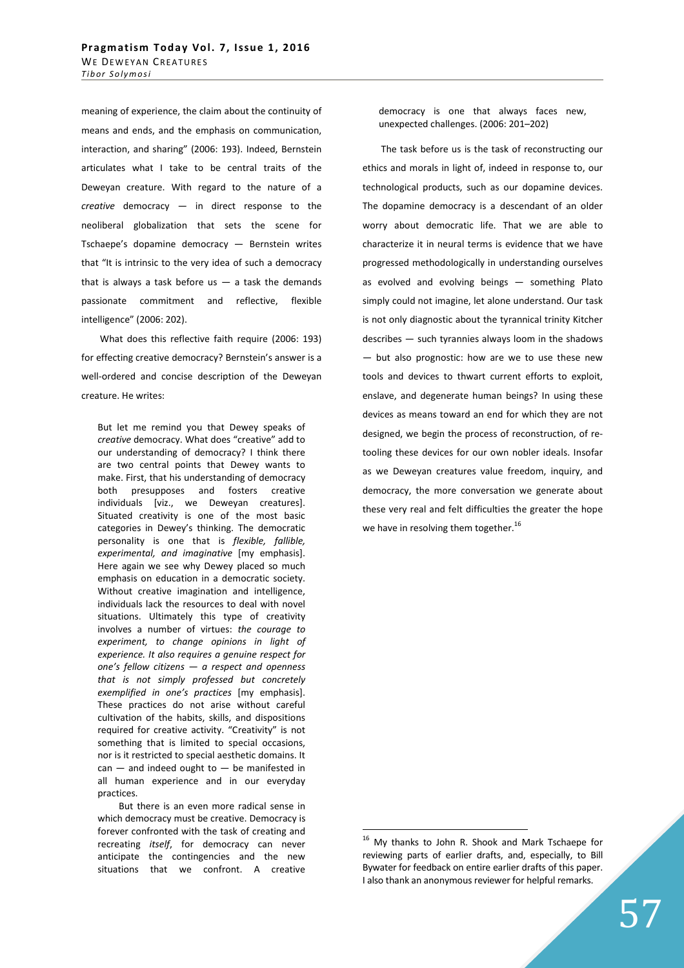meaning of experience, the claim about the continuity of means and ends, and the emphasis on communication, interaction, and sharing" (2006: 193). Indeed, Bernstein articulates what I take to be central traits of the Deweyan creature. With regard to the nature of a *creative* democracy — in direct response to the neoliberal globalization that sets the scene for Tschaepe's dopamine democracy — Bernstein writes that "It is intrinsic to the very idea of such a democracy that is always a task before us  $-$  a task the demands passionate commitment and reflective, flexible intelligence" (2006: 202).

 What does this reflective faith require (2006: 193) for effecting creative democracy? Bernstein's answer is a well-ordered and concise description of the Deweyan creature. He writes:

But let me remind you that Dewey speaks of *creative* democracy. What does "creative" add to our understanding of democracy? I think there are two central points that Dewey wants to make. First, that his understanding of democracy both presupposes and fosters creative individuals [viz., we Deweyan creatures]. Situated creativity is one of the most basic categories in Dewey's thinking. The democratic personality is one that is *flexible, fallible, experimental, and imaginative* [my emphasis]. Here again we see why Dewey placed so much emphasis on education in a democratic society. Without creative imagination and intelligence, individuals lack the resources to deal with novel situations. Ultimately this type of creativity involves a number of virtues: *the courage to experiment, to change opinions in light of experience. It also requires a genuine respect for one's fellow citizens — a respect and openness that is not simply professed but concretely exemplified in one's practices* [my emphasis]. These practices do not arise without careful cultivation of the habits, skills, and dispositions required for creative activity. "Creativity" is not something that is limited to special occasions, nor is it restricted to special aesthetic domains. It  $can$  — and indeed ought to — be manifested in all human experience and in our everyday practices.

 But there is an even more radical sense in which democracy must be creative. Democracy is forever confronted with the task of creating and recreating *itself*, for democracy can never anticipate the contingencies and the new situations that we confront. A creative democracy is one that always faces new, unexpected challenges. (2006: 201–202)

 The task before us is the task of reconstructing our ethics and morals in light of, indeed in response to, our technological products, such as our dopamine devices. The dopamine democracy is a descendant of an older worry about democratic life. That we are able to characterize it in neural terms is evidence that we have progressed methodologically in understanding ourselves as evolved and evolving beings — something Plato simply could not imagine, let alone understand. Our task is not only diagnostic about the tyrannical trinity Kitcher describes — such tyrannies always loom in the shadows — but also prognostic: how are we to use these new tools and devices to thwart current efforts to exploit, enslave, and degenerate human beings? In using these devices as means toward an end for which they are not designed, we begin the process of reconstruction, of retooling these devices for our own nobler ideals. Insofar as we Deweyan creatures value freedom, inquiry, and democracy, the more conversation we generate about these very real and felt difficulties the greater the hope we have in resolving them together. $^{16}$ 

<sup>&</sup>lt;sup>16</sup> My thanks to John R. Shook and Mark Tschaepe for reviewing parts of earlier drafts, and, especially, to Bill Bywater for feedback on entire earlier drafts of this paper. I also thank an anonymous reviewer for helpful remarks.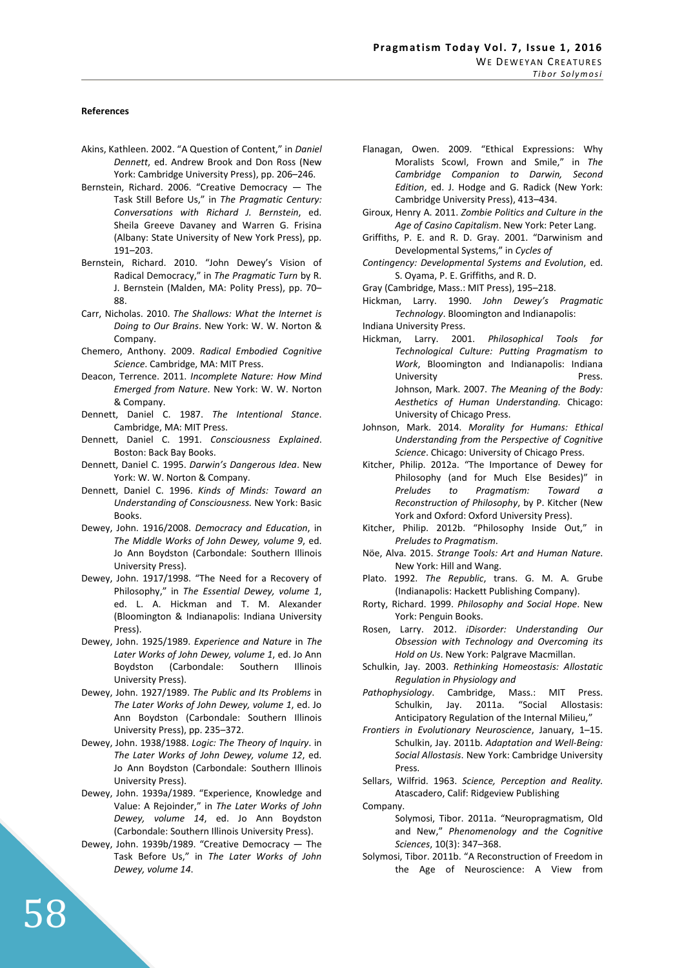#### **References**

- Akins, Kathleen. 2002. "A Question of Content," in *Daniel Dennett*, ed. Andrew Brook and Don Ross (New York: Cambridge University Press), pp. 206–246.
- Bernstein, Richard. 2006. "Creative Democracy The Task Still Before Us," in *The Pragmatic Century: Conversations with Richard J. Bernstein*, ed. Sheila Greeve Davaney and Warren G. Frisina (Albany: State University of New York Press), pp. 191–203.
- Bernstein, Richard. 2010. "John Dewey's Vision of Radical Democracy," in *The Pragmatic Turn* by R. J. Bernstein (Malden, MA: Polity Press), pp. 70– 88.
- Carr, Nicholas. 2010. *The Shallows: What the Internet is Doing to Our Brains*. New York: W. W. Norton & Company.
- Chemero, Anthony. 2009. *Radical Embodied Cognitive Science*. Cambridge, MA: MIT Press.
- Deacon, Terrence. 2011. *Incomplete Nature: How Mind Emerged from Nature*. New York: W. W. Norton & Company.
- Dennett, Daniel C. 1987. *The Intentional Stance*. Cambridge, MA: MIT Press.
- Dennett, Daniel C. 1991. *Consciousness Explained*. Boston: Back Bay Books.
- Dennett, Daniel C. 1995. *Darwin's Dangerous Idea*. New York: W. W. Norton & Company.
- Dennett, Daniel C. 1996. *Kinds of Minds: Toward an Understanding of Consciousness.* New York: Basic Books.
- Dewey, John. 1916/2008. *Democracy and Education*, in *The Middle Works of John Dewey, volume 9*, ed. Jo Ann Boydston (Carbondale: Southern Illinois University Press).
- Dewey, John. 1917/1998. "The Need for a Recovery of Philosophy," in *The Essential Dewey, volume 1*, ed. L. A. Hickman and T. M. Alexander (Bloomington & Indianapolis: Indiana University Press).
- Dewey, John. 1925/1989. *Experience and Nature* in *The Later Works of John Dewey, volume 1*, ed. Jo Ann Boydston (Carbondale: Southern Illinois University Press).
- Dewey, John. 1927/1989. *The Public and Its Problems* in *The Later Works of John Dewey, volume 1*, ed. Jo Ann Boydston (Carbondale: Southern Illinois University Press), pp. 235–372.
- Dewey, John. 1938/1988. *Logic: The Theory of Inquiry*. in *The Later Works of John Dewey, volume 12*, ed. Jo Ann Boydston (Carbondale: Southern Illinois University Press).
- Dewey, John. 1939a/1989. "Experience, Knowledge and Value: A Rejoinder," in *The Later Works of John Dewey, volume 14*, ed. Jo Ann Boydston (Carbondale: Southern Illinois University Press).
- Dewey, John. 1939b/1989. "Creative Democracy The Task Before Us," in *The Later Works of John Dewey, volume 14*.
- Flanagan, Owen. 2009. "Ethical Expressions: Why Moralists Scowl, Frown and Smile," in *The Cambridge Companion to Darwin, Second Edition*, ed. J. Hodge and G. Radick (New York: Cambridge University Press), 413–434.
- Giroux, Henry A. 2011. *Zombie Politics and Culture in the Age of Casino Capitalism*. New York: Peter Lang.
- Griffiths, P. E. and R. D. Gray. 2001. "Darwinism and Developmental Systems," in *Cycles of*
- *Contingency: Developmental Systems and Evolution*, ed. S. Oyama, P. E. Griffiths, and R. D.
- Gray (Cambridge, Mass.: MIT Press), 195–218.
- Hickman, Larry. 1990. *John Dewey's Pragmatic Technology*. Bloomington and Indianapolis:
- Indiana University Press.
- Hickman, Larry. 2001. *Philosophical Tools for Technological Culture: Putting Pragmatism to Work*, Bloomington and Indianapolis: Indiana University Press. Johnson, Mark. 2007. *The Meaning of the Body: Aesthetics of Human Understanding.* Chicago: University of Chicago Press.
- Johnson, Mark. 2014. *Morality for Humans: Ethical Understanding from the Perspective of Cognitive Science*. Chicago: University of Chicago Press.
- Kitcher, Philip. 2012a. "The Importance of Dewey for Philosophy (and for Much Else Besides)" in *Preludes to Pragmatism: Toward a Reconstruction of Philosophy*, by P. Kitcher (New York and Oxford: Oxford University Press).
- Kitcher, Philip. 2012b. "Philosophy Inside Out," in *Preludes to Pragmatism*.
- Nöe, Alva. 2015. *Strange Tools: Art and Human Nature*. New York: Hill and Wang.
- Plato. 1992. *The Republic*, trans. G. M. A. Grube (Indianapolis: Hackett Publishing Company).
- Rorty, Richard. 1999. *Philosophy and Social Hope*. New York: Penguin Books.
- Rosen, Larry. 2012. *iDisorder: Understanding Our Obsession with Technology and Overcoming its Hold on Us*. New York: Palgrave Macmillan.
- Schulkin, Jay. 2003. *Rethinking Homeostasis: Allostatic Regulation in Physiology and*
- *Pathophysiology*. Cambridge, Mass.: MIT Press. Schulkin, Jay. 2011a. "Social Allostasis: Anticipatory Regulation of the Internal Milieu,"
- *Frontiers in Evolutionary Neuroscience*, January, 1–15. Schulkin, Jay. 2011b. *Adaptation and Well-Being: Social Allostasis*. New York: Cambridge University Press.
- Sellars, Wilfrid. 1963. *Science, Perception and Reality.* Atascadero, Calif: Ridgeview Publishing

Company.

- Solymosi, Tibor. 2011a. "Neuropragmatism, Old and New," *Phenomenology and the Cognitive Sciences*, 10(3): 347–368.
- Solymosi, Tibor. 2011b. "A Reconstruction of Freedom in the Age of Neuroscience: A View from

58